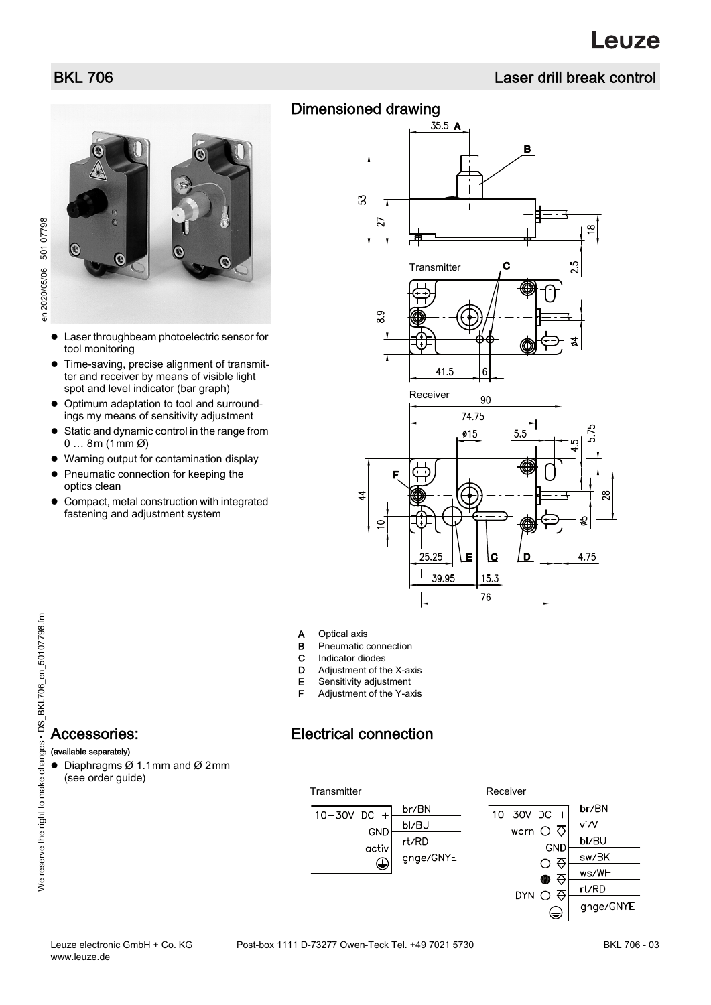# BKL 706 Laser drill break control

 $\infty$ 

ŗ۵

.<br>ما

5

4.75

5.<br>2

B

С

# Dimensioned drawing  $35.5 A$

53

27

8.9

Р

 $\overline{4}$ 

 $\subset$ 

**Transmitter** 

Receiver

25.25

 $\mathbf{I}$ 39.95

41.5

б

90 74.75

5.5

D

 $Ø15$ 

Ē

١c

15.3 76



- Laser throughbeam photoelectric sensor for tool monitoring
- Time-saving, precise alignment of transmitter and receiver by means of visible light spot and level indicator (bar graph)
- Optimum adaptation to tool and surroundings my means of sensitivity adjustment
- Static and dynamic control in the range from  $0 \dots 8$ m (1mm  $\emptyset$ )
- Warning output for contamination display
- Pneumatic connection for keeping the optics clean
- Compact, metal construction with integrated fastening and adjustment system

# Accessories: (available separately)

- Diaphragms Ø 1.1mm and Ø 2mm (see order guide)
- br/BN  $10 - 30V$  DC + bl/BU GND rt/RD activ gnge/GNYE ⊕





www.leuze.de

A Optical axis

**B** Pneumatic connection C Indicator diodes D Adjustment of the X-axis E Sensitivity adjustment F Adjustment of the Y-axis

Electrical connection

BKL 706 - 03